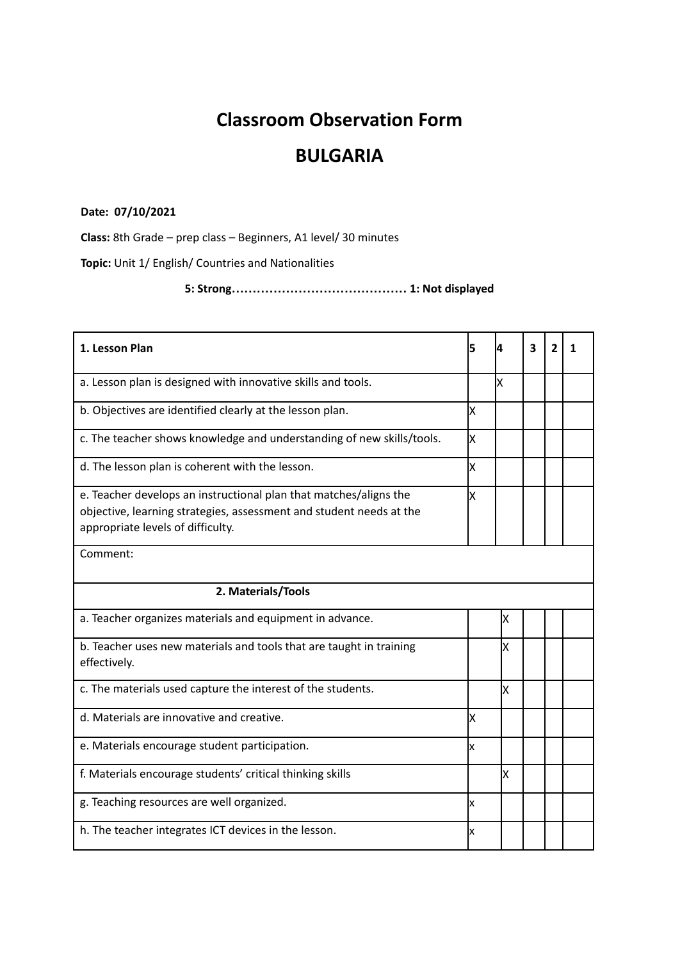## **Classroom Observation Form**

## **BULGARIA**

## **Date: 07/10/2021**

**Class:** 8th Grade – prep class – Beginners, A1 level/ 30 minutes

**Topic:** Unit 1/ English/ Countries and Nationalities

**5: Strong…………………………………… 1: Not displayed**

| 1. Lesson Plan                                                                                                                                                                | 5  | Δ  | 3 | 2 | 1 |  |  |  |
|-------------------------------------------------------------------------------------------------------------------------------------------------------------------------------|----|----|---|---|---|--|--|--|
| a. Lesson plan is designed with innovative skills and tools.                                                                                                                  |    | ΙX |   |   |   |  |  |  |
| b. Objectives are identified clearly at the lesson plan.                                                                                                                      | Ιx |    |   |   |   |  |  |  |
| c. The teacher shows knowledge and understanding of new skills/tools.                                                                                                         | Ιx |    |   |   |   |  |  |  |
| d. The lesson plan is coherent with the lesson.                                                                                                                               | Ιx |    |   |   |   |  |  |  |
| e. Teacher develops an instructional plan that matches/aligns the<br>objective, learning strategies, assessment and student needs at the<br>appropriate levels of difficulty. | Ιx |    |   |   |   |  |  |  |
| Comment:                                                                                                                                                                      |    |    |   |   |   |  |  |  |
| 2. Materials/Tools                                                                                                                                                            |    |    |   |   |   |  |  |  |
| a. Teacher organizes materials and equipment in advance.                                                                                                                      |    | X  |   |   |   |  |  |  |
| b. Teacher uses new materials and tools that are taught in training<br>effectively.                                                                                           |    | X  |   |   |   |  |  |  |
| c. The materials used capture the interest of the students.                                                                                                                   |    | X  |   |   |   |  |  |  |
| d. Materials are innovative and creative.                                                                                                                                     | Ιx |    |   |   |   |  |  |  |
| e. Materials encourage student participation.                                                                                                                                 | Ιx |    |   |   |   |  |  |  |
| f. Materials encourage students' critical thinking skills                                                                                                                     |    | lх |   |   |   |  |  |  |
| g. Teaching resources are well organized.                                                                                                                                     | Ιx |    |   |   |   |  |  |  |
| h. The teacher integrates ICT devices in the lesson.                                                                                                                          | x  |    |   |   |   |  |  |  |